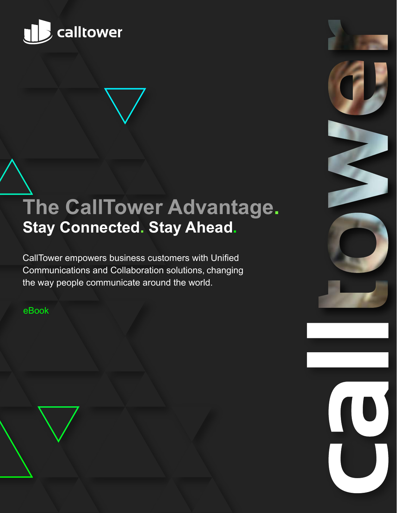

## **The CallTower Advantage. Stay Connected. Stay Ahead.**

CallTower empowers business customers with Unified Communications and Collaboration solutions, changing the way people communicate around the world.

eBook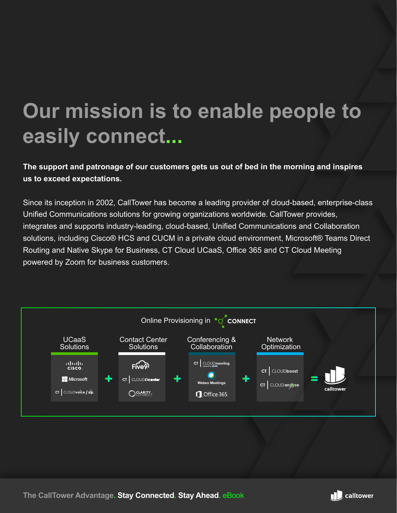# **Our mission is to enable people to easily connect...**

**The support and patronage of our customers gets us out of bed in the morning and inspires us to exceed expectations.**

Since its inception in 2002, CallTower has become a leading provider of cloud-based, enterprise-class Unified Communications solutions for growing organizations worldwide. CallTower provides, integrates and supports industry-leading, cloud-based, Unified Communications and Collaboration solutions, including Cisco® HCS and CUCM in a private cloud environment, Microsoft® Teams Direct Routing and Native Skype for Business, CT Cloud UCaaS, Office 365 and CT Cloud Meeting powered by Zoom for business customers.



**The CallTower Advantage. Stay Connected. Stay Ahead. eBook <b>.** 

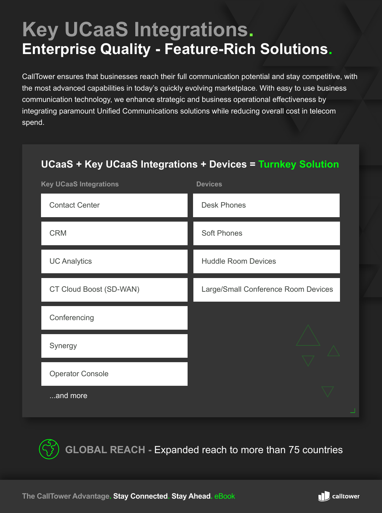## **Key UCaaS Integrations. Enterprise Quality - Feature-Rich Solutions.**

CallTower ensures that businesses reach their full communication potential and stay competitive, with the most advanced capabilities in today's quickly evolving marketplace. With easy to use business communication technology, we enhance strategic and business operational effectiveness by integrating paramount Unified Communications solutions while reducing overall cost in telecom spend.

## **UCaaS + Key UCaaS Integrations + Devices = Turnkey Solution** Contact Center CRM **Key UCaaS Integrations Devices** Desk Phones Soft Phones UC Analytics **Huddle Room Devices** CT Cloud Boost (SD-WAN) Large/Small Conference Room Devices **Conferencing** Synergy Operator Console ...and more

**GLOBAL REACH -** Expanded reach to more than 75 countries

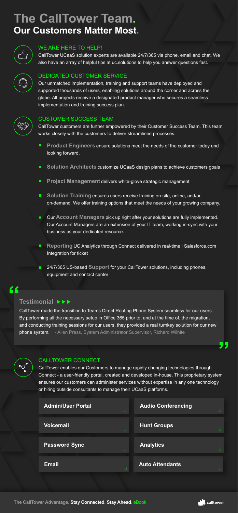#### WE ARE HERE TO HELP!

CallTower UCaaS solution experts are available 24/7/365 via phone, email and chat. We also have an array of helpful tips at uc.solutions to help you answer questions fast.



## **The CallTower Team. Our Customers Matter Most.**



#### DEDICATED CUSTOMER SERVICE

Our unmatched implementation, training and support teams have deployed and supported thousands of users, enabling solutions around the corner and across the globe. All projects receive a designated product manager who secures a seamless implementation and training success plan.



#### CUSTOMER SUCCESS TEAM

CallTower customers are further empowered by their Customer Success Team. This team works closely with the customers to deliver streamlined processes.

- $\blacksquare$ **Product Engineers** ensure solutions meet the needs of the customer today and looking forward.
- Solution Architects customize UCaaS design plans to achieve customers goals
- $\blacksquare$ **Project Management** delivers white-glove strategic management
- **Solution Training** ensures users receive training on-site, online, and/or  $\blacksquare$ on-demand. We offer training options that meet the needs of your growing company.
- Our **Account Managers** pick up right after your solutions are fully implemented. Our Account Managers are an extension of your IT team, working in-sync with your business as your dedicated resource.
- $\blacksquare$ **Reporting** UC Analytics through Connect delivered in real-time | Salesforce.com Integration for ticket

24/7/365 US-based **Support** for your CallTower solutions, including phones, equipment and contact center

#### CALLTOWER CONNECT

CallTower enables our Customers to manage rapidly changing technologies through Connect - a user-friendly portal, created and developed in-house. This proprietary system ensures our customers can administer services without expertise in any one technology or hiring outside consultants to manage their UCaaS platforms.

#### **Testimonial**

CallTower made the transition to Teams Direct Routing Phone System seamless for our users. By performing all the necessary setup in Office 365 prior to, and at the time of, the migration, and conducting training sessions for our users, they provided a real turnkey solution for our new phone system. - Allen Press, System Administrator Supervisor, Richard Wilhite



| <b>Admin/User Portal</b> | <b>Audio Conferencing</b> |
|--------------------------|---------------------------|
| <b>Voicemail</b>         | <b>Hunt Groups</b>        |
| <b>Password Sync</b>     | <b>Analytics</b>          |
| <b>Email</b>             | <b>Auto Attendants</b>    |
|                          |                           |

**The CallTower Advantage. Stay Connected. Stay Ahead.** eBook

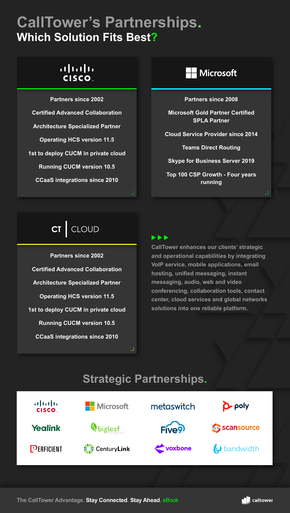## **CallTower's Partnerships. Which Solution Fits Best?**

### $(1)$ **CISCO**

**Partners since 2002 Certified Advanced Collaboration Architecture Specialized Partner Operating HCS version 11.5 1st to deploy CUCM in private cloud Running CUCM version 10.5 CCaaS integrations since 2010**



**Partners since 2008** 

**Microsoft Gold Partner Certified SPLA Partner** 

**Cloud Service Provider since 2014** 

**Teams Direct Routing** 

**Skype for Business Server 2019** 

**Top 100 CSP Growth - Four years running**



**Partners since 2002 Certified Advanced Collaboration Architecture Specialized Partner Operating HCS version 11.5 1st to deploy CUCM in private cloud Running CUCM version 10.5 CCaaS integrations since 2010**

**CallTower enhances our clients' strategic and operational capabilities by integrating VoIP service, mobile applications, email hosting, unified messaging, instant messaging, audio, web and video conferencing, collaboration tools, contact center, cloud services and global networks solutions into one reliable platform.**

### **Strategic Partnerships.**



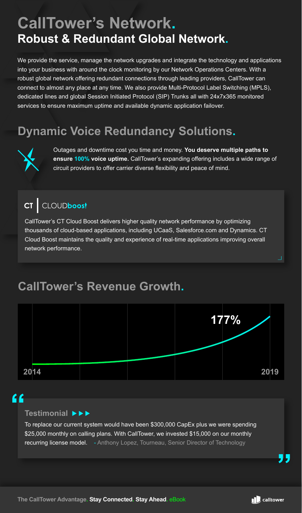## **CallTower's Network. Robust & Redundant Global Network.**

We provide the service, manage the network upgrades and integrate the technology and applications into your business with around the clock monitoring by our Network Operations Centers. With a robust global network offering redundant connections through leading providers, CallTower can connect to almost any place at any time. We also provide Multi-Protocol Label Switching (MPLS), dedicated lines and global Session Initiated Protocol (SIP) Trunks all with 24x7x365 monitored services to ensure maximum uptime and available dynamic application failover.

## **Dynamic Voice Redundancy Solutions.**



Outages and downtime cost you time and money. **You deserve multiple paths to ensure 100% voice uptime.** CallTower's expanding offering includes a wide range of circuit providers to offer carrier diverse flexibility and peace of mind.

#### CLOUDboos!  $cr$

CallTower's CT Cloud Boost delivers higher quality network performance by optimizing thousands of cloud-based applications, including UCaaS, Salesforce.com and Dynamics. CT Cloud Boost maintains the quality and experience of real-time applications improving overall network performance.

### **CallTower's Revenue Growth.**



### <u>"</u>

#### **Testimonial**

To replace our current system would have been \$300,000 CapEx plus we were spending \$25,000 monthly on calling plans. With CallTower, we invested \$15,000 on our monthly recurring license model. - Anthony Lopez, Tourneau, Senior Director of Technology

Л.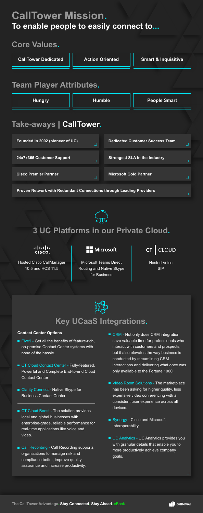## **CallTower Mission. To enable people to easily connect to...**

### **Core Values.**







### **3 UC Platforms in our Private Cloud.**



Hosted Cisco CallManager 10.5 and HCS 11.5

Microsoft

Microsoft Teams Direct Routing and Native Skype for Business

**CLOUD CT** 

- $\blacksquare$  Five9 Get all the benefits of feature-rich, on-premise Contact Center systems with none of the hassle.
- CT Cloud Contact Center Fully-featured, Powerful and Complete End-to-end Cloud Contact Center
- Clarity Connect Native Skype for Business Contact Center
- CT Cloud Boost The solution provides local and global businesses with enterprise-grade, reliable performance for real-time applications like voice and video.
- Call Recording Call Recording supports organizations to manage risk and compliance better, improve quality assurance and increase productivity.

Hosted Voice SIP



- **Contact Center Options** Contact Center Options CRM **CRM** Not only does CRM integration save valuable time for professionals who interact with customers and prospects, but it also elevates the way business is conducted by streamlining CRM interactions and delivering what once was only available to the Fortune 1000.
	- Video Room Solutions The marketplace has been asking for higher quality, less expensive video conferencing with a consistent user experience across all devices.
	- Synergy Cisco and Microsoft Interoperability.
	- UC Analytics UC Analytics provides you with granular details that enable you to more productively achieve company goals.

### **Key UCaaS Integrations.**